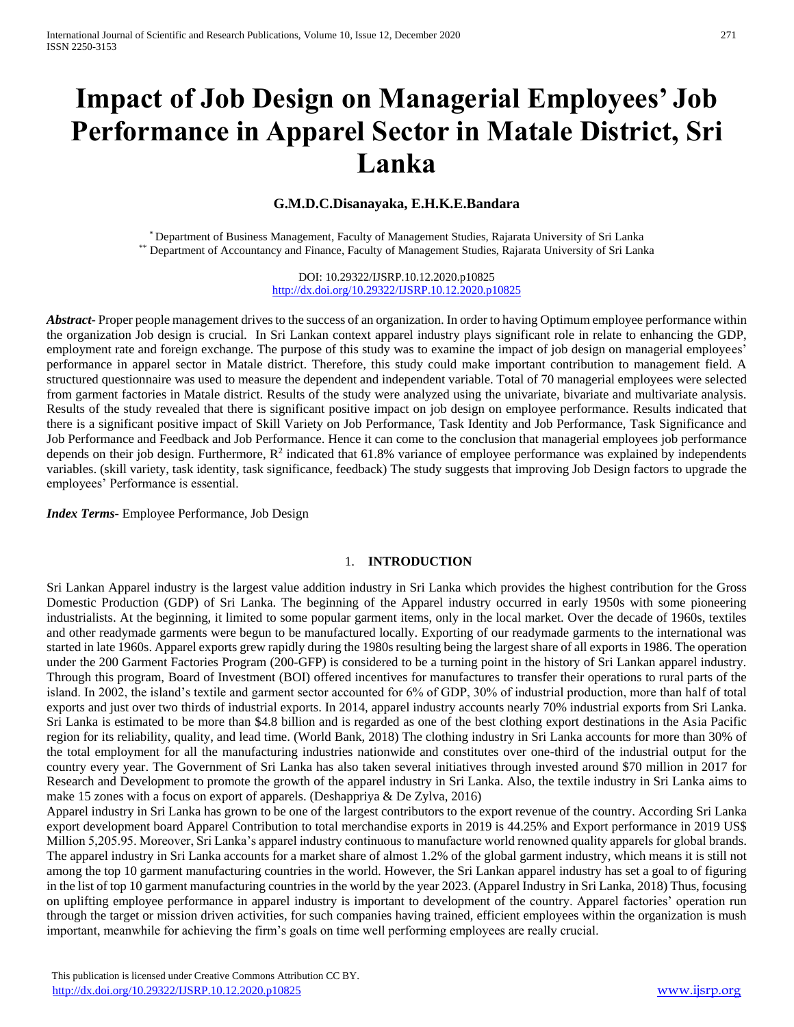# **Impact of Job Design on Managerial Employees' Job Performance in Apparel Sector in Matale District, Sri Lanka**

#### **G.M.D.C.Disanayaka, E.H.K.E.Bandara**

\* Department of Business Management, Faculty of Management Studies, Rajarata University of Sri Lanka \*\* Department of Accountancy and Finance, Faculty of Management Studies, Rajarata University of Sri Lanka

> DOI: 10.29322/IJSRP.10.12.2020.p10825 <http://dx.doi.org/10.29322/IJSRP.10.12.2020.p10825>

*Abstract***-** Proper people management drives to the success of an organization. In order to having Optimum employee performance within the organization Job design is crucial. In Sri Lankan context apparel industry plays significant role in relate to enhancing the GDP, employment rate and foreign exchange. The purpose of this study was to examine the impact of job design on managerial employees' performance in apparel sector in Matale district. Therefore, this study could make important contribution to management field. A structured questionnaire was used to measure the dependent and independent variable. Total of 70 managerial employees were selected from garment factories in Matale district. Results of the study were analyzed using the univariate, bivariate and multivariate analysis. Results of the study revealed that there is significant positive impact on job design on employee performance. Results indicated that there is a significant positive impact of Skill Variety on Job Performance, Task Identity and Job Performance, Task Significance and Job Performance and Feedback and Job Performance. Hence it can come to the conclusion that managerial employees job performance depends on their job design. Furthermore,  $R<sup>2</sup>$  indicated that 61.8% variance of employee performance was explained by independents variables. (skill variety, task identity, task significance, feedback) The study suggests that improving Job Design factors to upgrade the employees' Performance is essential.

*Index Terms*- Employee Performance, Job Design

#### 1. **INTRODUCTION**

Sri Lankan Apparel industry is the largest value addition industry in Sri Lanka which provides the highest contribution for the Gross Domestic Production (GDP) of Sri Lanka. The beginning of the Apparel industry occurred in early 1950s with some pioneering industrialists. At the beginning, it limited to some popular garment items, only in the local market. Over the decade of 1960s, textiles and other readymade garments were begun to be manufactured locally. Exporting of our readymade garments to the international was started in late 1960s. Apparel exports grew rapidly during the 1980s resulting being the largest share of all exports in 1986. The operation under the 200 Garment Factories Program (200-GFP) is considered to be a turning point in the history of Sri Lankan apparel industry. Through this program, Board of Investment (BOI) offered incentives for manufactures to transfer their operations to rural parts of the island. In 2002, the island's textile and garment sector accounted for 6% of GDP, 30% of industrial production, more than half of total exports and just over two thirds of industrial exports. In 2014, apparel industry accounts nearly 70% industrial exports from Sri Lanka. Sri Lanka is estimated to be more than \$4.8 billion and is regarded as one of the best clothing export destinations in the Asia Pacific region for its reliability, quality, and lead time. (World Bank, 2018) The clothing industry in Sri Lanka accounts for more than 30% of the total employment for all the manufacturing industries nationwide and constitutes over one-third of the industrial output for the country every year. The Government of Sri Lanka has also taken several initiatives through invested around \$70 million in 2017 for Research and Development to promote the growth of the apparel industry in Sri Lanka. Also, the textile industry in Sri Lanka aims to make 15 zones with a focus on export of apparels. (Deshappriya & De Zylva, 2016)

Apparel industry in Sri Lanka has grown to be one of the largest contributors to the export revenue of the country. According Sri Lanka export development board Apparel Contribution to total merchandise exports in 2019 is 44.25% and Export performance in 2019 US\$ Million 5,205.95. Moreover, Sri Lanka's apparel industry continuous to manufacture world renowned quality apparels for global brands. The apparel industry in Sri Lanka accounts for a market share of almost 1.2% of the global garment industry, which means it is still not among the top 10 garment manufacturing countries in the world. However, the Sri Lankan apparel industry has set a goal to of figuring in the list of top 10 garment manufacturing countries in the world by the year 2023. (Apparel Industry in Sri Lanka, 2018) Thus, focusing on uplifting employee performance in apparel industry is important to development of the country. Apparel factories' operation run through the target or mission driven activities, for such companies having trained, efficient employees within the organization is mush important, meanwhile for achieving the firm's goals on time well performing employees are really crucial.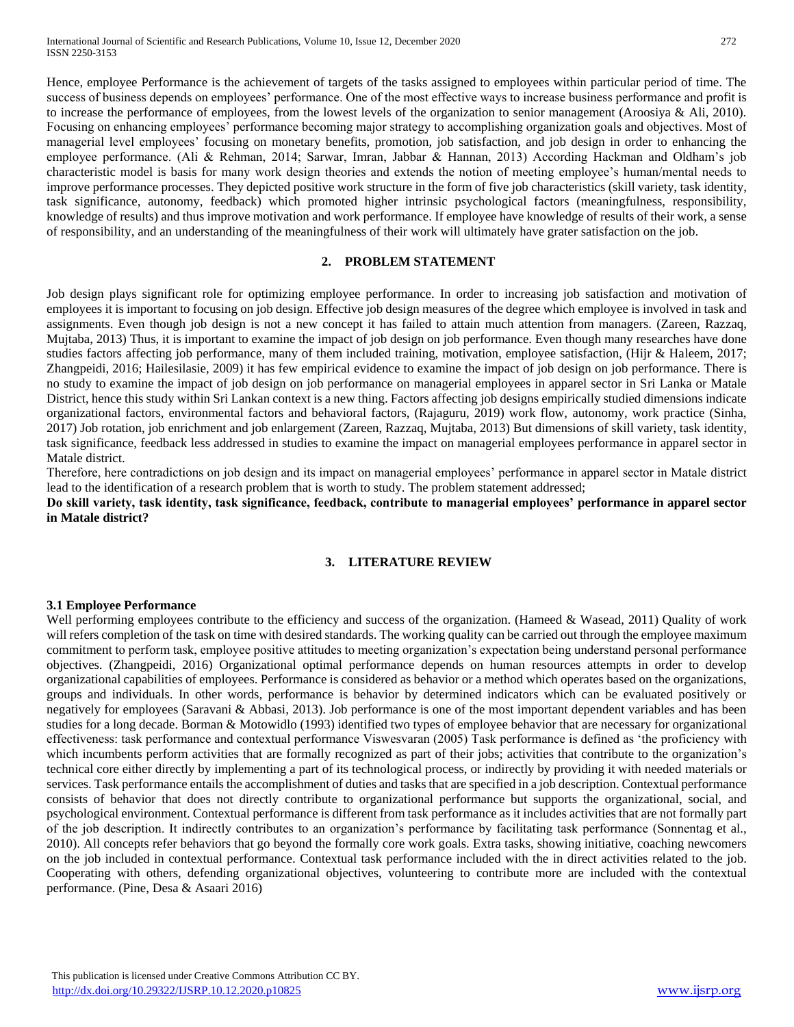Hence, employee Performance is the achievement of targets of the tasks assigned to employees within particular period of time. The success of business depends on employees' performance. One of the most effective ways to increase business performance and profit is to increase the performance of employees, from the lowest levels of the organization to senior management (Aroosiya & Ali, 2010). Focusing on enhancing employees' performance becoming major strategy to accomplishing organization goals and objectives. Most of managerial level employees' focusing on monetary benefits, promotion, job satisfaction, and job design in order to enhancing the employee performance. (Ali & Rehman, 2014; Sarwar, Imran, Jabbar & Hannan, 2013) According Hackman and Oldham's job characteristic model is basis for many work design theories and extends the notion of meeting employee's human/mental needs to improve performance processes. They depicted positive work structure in the form of five job characteristics (skill variety, task identity, task significance, autonomy, feedback) which promoted higher intrinsic psychological factors (meaningfulness, responsibility, knowledge of results) and thus improve motivation and work performance. If employee have knowledge of results of their work, a sense of responsibility, and an understanding of the meaningfulness of their work will ultimately have grater satisfaction on the job.

#### **2. PROBLEM STATEMENT**

Job design plays significant role for optimizing employee performance. In order to increasing job satisfaction and motivation of employees it is important to focusing on job design. Effective job design measures of the degree which employee is involved in task and assignments. Even though job design is not a new concept it has failed to attain much attention from managers. (Zareen, Razzaq, Mujtaba, 2013) Thus, it is important to examine the impact of job design on job performance. Even though many researches have done studies factors affecting job performance, many of them included training, motivation, employee satisfaction, (Hijr & Haleem, 2017; Zhangpeidi, 2016; Hailesilasie, 2009) it has few empirical evidence to examine the impact of job design on job performance. There is no study to examine the impact of job design on job performance on managerial employees in apparel sector in Sri Lanka or Matale District, hence this study within Sri Lankan context is a new thing. Factors affecting job designs empirically studied dimensions indicate organizational factors, environmental factors and behavioral factors, (Rajaguru, 2019) work flow, autonomy, work practice (Sinha, 2017) Job rotation, job enrichment and job enlargement (Zareen, Razzaq, Mujtaba, 2013) But dimensions of skill variety, task identity, task significance, feedback less addressed in studies to examine the impact on managerial employees performance in apparel sector in Matale district.

Therefore, here contradictions on job design and its impact on managerial employees' performance in apparel sector in Matale district lead to the identification of a research problem that is worth to study. The problem statement addressed;

**Do skill variety, task identity, task significance, feedback, contribute to managerial employees' performance in apparel sector in Matale district?**

#### **3. LITERATURE REVIEW**

#### **3.1 Employee Performance**

Well performing employees contribute to the efficiency and success of the organization. (Hameed & Wasead, 2011) Quality of work will refers completion of the task on time with desired standards. The working quality can be carried out through the employee maximum commitment to perform task, employee positive attitudes to meeting organization's expectation being understand personal performance objectives. (Zhangpeidi, 2016) Organizational optimal performance depends on human resources attempts in order to develop organizational capabilities of employees. Performance is considered as behavior or a method which operates based on the organizations, groups and individuals. In other words, performance is behavior by determined indicators which can be evaluated positively or negatively for employees (Saravani & Abbasi, 2013). Job performance is one of the most important dependent variables and has been studies for a long decade. Borman & Motowidlo (1993) identified two types of employee behavior that are necessary for organizational effectiveness: task performance and contextual performance Viswesvaran (2005) Task performance is defined as 'the proficiency with which incumbents perform activities that are formally recognized as part of their jobs; activities that contribute to the organization's technical core either directly by implementing a part of its technological process, or indirectly by providing it with needed materials or services. Task performance entails the accomplishment of duties and tasks that are specified in a job description. Contextual performance consists of behavior that does not directly contribute to organizational performance but supports the organizational, social, and psychological environment. Contextual performance is different from task performance as it includes activities that are not formally part of the job description. It indirectly contributes to an organization's performance by facilitating task performance (Sonnentag et al., 2010). All concepts refer behaviors that go beyond the formally core work goals. Extra tasks, showing initiative, coaching newcomers on the job included in contextual performance. Contextual task performance included with the in direct activities related to the job. Cooperating with others, defending organizational objectives, volunteering to contribute more are included with the contextual performance. (Pine, Desa & Asaari 2016)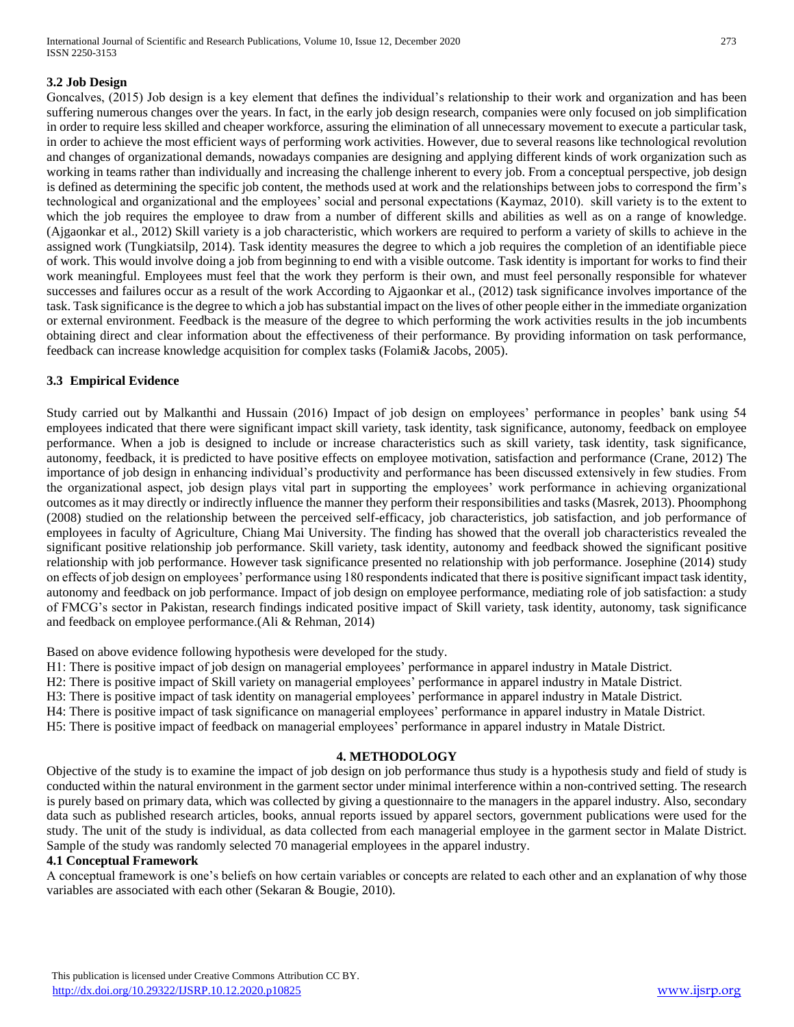# **3.2 Job Design**

Goncalves, (2015) Job design is a key element that defines the individual's relationship to their work and organization and has been suffering numerous changes over the years. In fact, in the early job design research, companies were only focused on job simplification in order to require less skilled and cheaper workforce, assuring the elimination of all unnecessary movement to execute a particular task, in order to achieve the most efficient ways of performing work activities. However, due to several reasons like technological revolution and changes of organizational demands, nowadays companies are designing and applying different kinds of work organization such as working in teams rather than individually and increasing the challenge inherent to every job. From a conceptual perspective, job design is defined as determining the specific job content, the methods used at work and the relationships between jobs to correspond the firm's technological and organizational and the employees' social and personal expectations (Kaymaz, 2010). skill variety is to the extent to which the job requires the employee to draw from a number of different skills and abilities as well as on a range of knowledge. (Ajgaonkar et al., 2012) Skill variety is a job characteristic, which workers are required to perform a variety of skills to achieve in the assigned work (Tungkiatsilp, 2014). Task identity measures the degree to which a job requires the completion of an identifiable piece of work. This would involve doing a job from beginning to end with a visible outcome. Task identity is important for works to find their work meaningful. Employees must feel that the work they perform is their own, and must feel personally responsible for whatever successes and failures occur as a result of the work According to Ajgaonkar et al., (2012) task significance involves importance of the task. Task significance is the degree to which a job has substantial impact on the lives of other people either in the immediate organization or external environment. Feedback is the measure of the degree to which performing the work activities results in the job incumbents obtaining direct and clear information about the effectiveness of their performance. By providing information on task performance, feedback can increase knowledge acquisition for complex tasks (Folami& Jacobs, 2005).

#### **3.3 Empirical Evidence**

Study carried out by Malkanthi and Hussain (2016) Impact of job design on employees' performance in peoples' bank using 54 employees indicated that there were significant impact skill variety, task identity, task significance, autonomy, feedback on employee performance. When a job is designed to include or increase characteristics such as skill variety, task identity, task significance, autonomy, feedback, it is predicted to have positive effects on employee motivation, satisfaction and performance (Crane, 2012) The importance of job design in enhancing individual's productivity and performance has been discussed extensively in few studies. From the organizational aspect, job design plays vital part in supporting the employees' work performance in achieving organizational outcomes as it may directly or indirectly influence the manner they perform their responsibilities and tasks (Masrek, 2013). Phoomphong (2008) studied on the relationship between the perceived self-efficacy, job characteristics, job satisfaction, and job performance of employees in faculty of Agriculture, Chiang Mai University. The finding has showed that the overall job characteristics revealed the significant positive relationship job performance. Skill variety, task identity, autonomy and feedback showed the significant positive relationship with job performance. However task significance presented no relationship with job performance. Josephine (2014) study on effects of job design on employees' performance using 180 respondents indicated that there is positive significant impact task identity, autonomy and feedback on job performance. Impact of job design on employee performance, mediating role of job satisfaction: a study of FMCG's sector in Pakistan, research findings indicated positive impact of Skill variety, task identity, autonomy, task significance and feedback on employee performance.(Ali & Rehman, 2014)

Based on above evidence following hypothesis were developed for the study.

H1: There is positive impact of job design on managerial employees' performance in apparel industry in Matale District.

H2: There is positive impact of Skill variety on managerial employees' performance in apparel industry in Matale District.

H3: There is positive impact of task identity on managerial employees' performance in apparel industry in Matale District.

H4: There is positive impact of task significance on managerial employees' performance in apparel industry in Matale District.

H5: There is positive impact of feedback on managerial employees' performance in apparel industry in Matale District.

#### **4. METHODOLOGY**

Objective of the study is to examine the impact of job design on job performance thus study is a hypothesis study and field of study is conducted within the natural environment in the garment sector under minimal interference within a non-contrived setting. The research is purely based on primary data, which was collected by giving a questionnaire to the managers in the apparel industry. Also, secondary data such as published research articles, books, annual reports issued by apparel sectors, government publications were used for the study. The unit of the study is individual, as data collected from each managerial employee in the garment sector in Malate District. Sample of the study was randomly selected 70 managerial employees in the apparel industry.

#### **4.1 Conceptual Framework**

A conceptual framework is one's beliefs on how certain variables or concepts are related to each other and an explanation of why those variables are associated with each other (Sekaran & Bougie, 2010).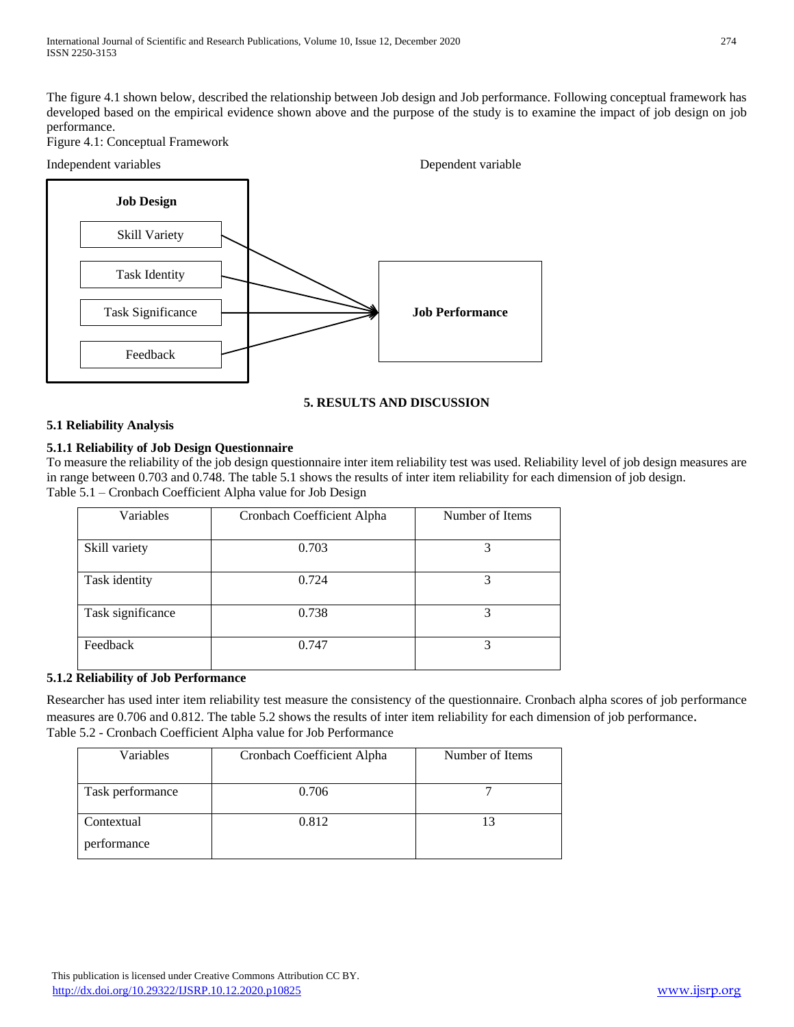The figure 4.1 shown below, described the relationship between Job design and Job performance. Following conceptual framework has developed based on the empirical evidence shown above and the purpose of the study is to examine the impact of job design on job performance.

Figure 4.1: Conceptual Framework



## **5. RESULTS AND DISCUSSION**

#### **5.1 Reliability Analysis**

#### **5.1.1 Reliability of Job Design Questionnaire**

To measure the reliability of the job design questionnaire inter item reliability test was used. Reliability level of job design measures are in range between 0.703 and 0.748. The table 5.1 shows the results of inter item reliability for each dimension of job design. Table 5.1 – Cronbach Coefficient Alpha value for Job Design

| Variables         | Cronbach Coefficient Alpha | Number of Items |  |  |
|-------------------|----------------------------|-----------------|--|--|
| Skill variety     | 0.703                      |                 |  |  |
| Task identity     | 0.724                      | 3               |  |  |
| Task significance | 0.738                      | 3               |  |  |
| Feedback          | 0.747                      |                 |  |  |

#### **5.1.2 Reliability of Job Performance**

Researcher has used inter item reliability test measure the consistency of the questionnaire. Cronbach alpha scores of job performance measures are 0.706 and 0.812. The table 5.2 shows the results of inter item reliability for each dimension of job performance. Table 5.2 - Cronbach Coefficient Alpha value for Job Performance

| Variables                 | Cronbach Coefficient Alpha | Number of Items |
|---------------------------|----------------------------|-----------------|
| Task performance          | 0.706                      |                 |
| Contextual<br>performance | 0.812                      |                 |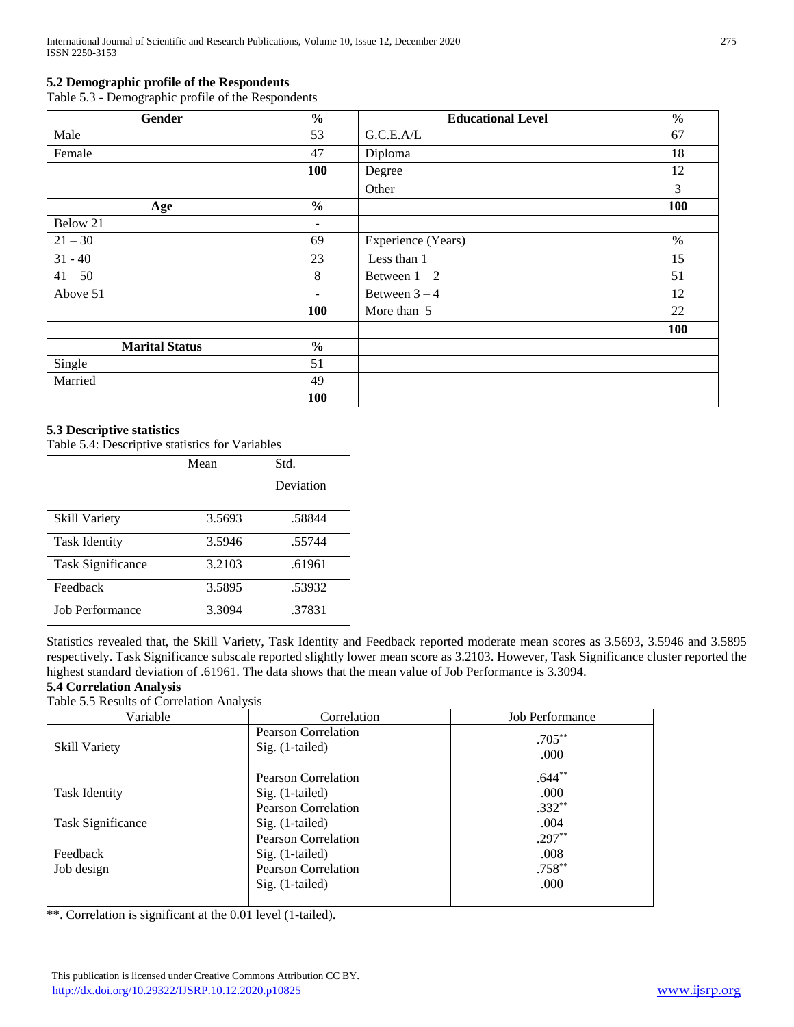## **5.2 Demographic profile of the Respondents**

Table 5.3 - Demographic profile of the Respondents

| Gender                | $\frac{6}{6}$            | <b>Educational Level</b> | $\frac{0}{0}$ |
|-----------------------|--------------------------|--------------------------|---------------|
| Male                  | 53                       | G.C.E.A/L                | 67            |
| Female                | 47                       | Diploma                  | 18            |
|                       | 100                      | Degree                   | 12            |
|                       |                          | Other                    | 3             |
| Age                   | $\frac{6}{6}$            |                          | 100           |
| Below 21              | $\overline{\phantom{a}}$ |                          |               |
| $21 - 30$             | 69                       | Experience (Years)       | $\%$          |
| $31 - 40$             | 23                       | Less than 1              | 15            |
| $41 - 50$             | 8                        | Between $1-2$            | 51            |
| Above 51              | $\overline{\phantom{a}}$ | Between $3-4$            | 12            |
|                       | 100                      | More than 5              | 22            |
|                       |                          |                          | 100           |
| <b>Marital Status</b> | $\frac{0}{0}$            |                          |               |
| Single                | 51                       |                          |               |
| Married               | 49                       |                          |               |
|                       | 100                      |                          |               |

#### **5.3 Descriptive statistics**

Table 5.4: Descriptive statistics for Variables

|                          | Mean   | Std.      |  |
|--------------------------|--------|-----------|--|
|                          |        | Deviation |  |
| <b>Skill Variety</b>     | 3.5693 | .58844    |  |
| <b>Task Identity</b>     | 3.5946 | .55744    |  |
| <b>Task Significance</b> | 3.2103 | .61961    |  |
| Feedback                 | 3.5895 | .53932    |  |
| <b>Job Performance</b>   | 3.3094 | .37831    |  |

Statistics revealed that, the Skill Variety, Task Identity and Feedback reported moderate mean scores as 3.5693, 3.5946 and 3.5895 respectively. Task Significance subscale reported slightly lower mean score as 3.2103. However, Task Significance cluster reported the highest standard deviation of .61961. The data shows that the mean value of Job Performance is 3.3094.

# **5.4 Correlation Analysis**

Table 5.5 Results of Correlation Analysis

| Variable                 | Correlation                                   | <b>Job Performance</b> |
|--------------------------|-----------------------------------------------|------------------------|
| <b>Skill Variety</b>     | <b>Pearson Correlation</b><br>Sig. (1-tailed) | $.705***$<br>.000      |
|                          | <b>Pearson Correlation</b>                    | $.644***$              |
| <b>Task Identity</b>     | Sig. (1-tailed)                               | .000                   |
|                          | Pearson Correlation                           | $.332**$               |
| <b>Task Significance</b> | Sig. (1-tailed)                               | .004                   |
|                          | Pearson Correlation                           | $.297**$               |
| Feedback                 | Sig. (1-tailed)                               | .008                   |
| Job design               | <b>Pearson Correlation</b>                    | $.758***$              |
|                          | $Sig.$ (1-tailed)                             | .000                   |

\*\*. Correlation is significant at the 0.01 level (1-tailed).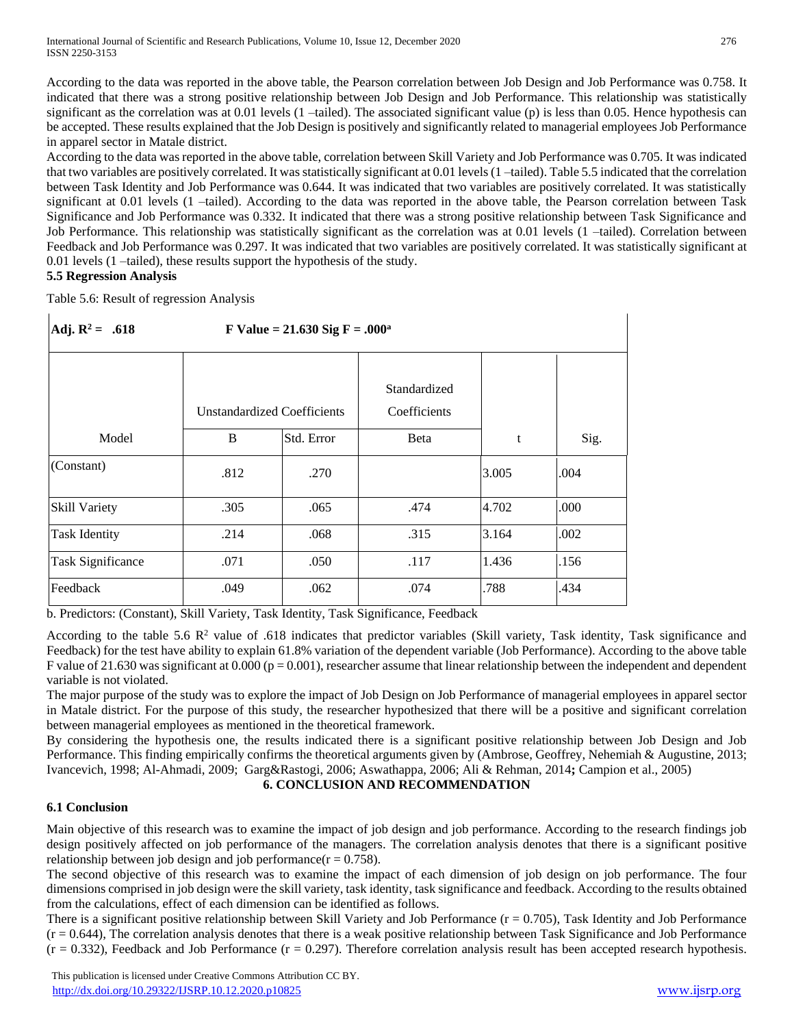According to the data was reported in the above table, the Pearson correlation between Job Design and Job Performance was 0.758. It indicated that there was a strong positive relationship between Job Design and Job Performance. This relationship was statistically significant as the correlation was at 0.01 levels (1 –tailed). The associated significant value (p) is less than 0.05. Hence hypothesis can be accepted. These results explained that the Job Design is positively and significantly related to managerial employees Job Performance in apparel sector in Matale district.

According to the data was reported in the above table, correlation between Skill Variety and Job Performance was 0.705. It was indicated that two variables are positively correlated. It was statistically significant at 0.01 levels (1 –tailed). Table 5.5 indicated that the correlation between Task Identity and Job Performance was 0.644. It was indicated that two variables are positively correlated. It was statistically significant at 0.01 levels (1 –tailed). According to the data was reported in the above table, the Pearson correlation between Task Significance and Job Performance was 0.332. It indicated that there was a strong positive relationship between Task Significance and Job Performance. This relationship was statistically significant as the correlation was at 0.01 levels (1 –tailed). Correlation between Feedback and Job Performance was 0.297. It was indicated that two variables are positively correlated. It was statistically significant at 0.01 levels (1 –tailed), these results support the hypothesis of the study.

#### **5.5 Regression Analysis**

Table 5.6: Result of regression Analysis

| Adj. $R^2 = .618$        | F Value = $21.630$ Sig F = $.000^a$     |            |                                      |       |      |
|--------------------------|-----------------------------------------|------------|--------------------------------------|-------|------|
| Model                    | <b>Unstandardized Coefficients</b><br>B | Std. Error | Standardized<br>Coefficients<br>Beta | t     | Sig. |
| (Constant)               |                                         |            |                                      |       |      |
|                          | .812                                    | .270       |                                      | 3.005 | .004 |
| <b>Skill Variety</b>     | .305                                    | .065       | .474                                 | 4.702 | .000 |
| <b>Task Identity</b>     | .214                                    | .068       | .315                                 | 3.164 | .002 |
| <b>Task Significance</b> | .071                                    | .050       | .117                                 | 1.436 | .156 |
| Feedback                 | .049                                    | .062       | .074                                 | .788  | .434 |

b. Predictors: (Constant), Skill Variety, Task Identity, Task Significance, Feedback

According to the table 5.6  $\mathbb{R}^2$  value of .618 indicates that predictor variables (Skill variety, Task identity, Task significance and Feedback) for the test have ability to explain 61.8% variation of the dependent variable (Job Performance). According to the above table F value of 21.630 was significant at 0.000 ( $p = 0.001$ ), researcher assume that linear relationship between the independent and dependent variable is not violated.

The major purpose of the study was to explore the impact of Job Design on Job Performance of managerial employees in apparel sector in Matale district. For the purpose of this study, the researcher hypothesized that there will be a positive and significant correlation between managerial employees as mentioned in the theoretical framework.

By considering the hypothesis one, the results indicated there is a significant positive relationship between Job Design and Job Performance. This finding empirically confirms the theoretical arguments given by (Ambrose, Geoffrey, Nehemiah & Augustine, 2013; Ivancevich, 1998; Al-Ahmadi, 2009; Garg&Rastogi, 2006; Aswathappa, 2006; Ali & Rehman, 2014**;** Campion et al., 2005)

#### **6. CONCLUSION AND RECOMMENDATION**

## **6.1 Conclusion**

Main objective of this research was to examine the impact of job design and job performance. According to the research findings job design positively affected on job performance of the managers. The correlation analysis denotes that there is a significant positive relationship between job design and job performance( $r = 0.758$ ).

The second objective of this research was to examine the impact of each dimension of job design on job performance. The four dimensions comprised in job design were the skill variety, task identity, task significance and feedback. According to the results obtained from the calculations, effect of each dimension can be identified as follows.

There is a significant positive relationship between Skill Variety and Job Performance  $(r = 0.705)$ , Task Identity and Job Performance  $(r = 0.644)$ , The correlation analysis denotes that there is a weak positive relationship between Task Significance and Job Performance  $(r = 0.332)$ , Feedback and Job Performance  $(r = 0.297)$ . Therefore correlation analysis result has been accepted research hypothesis.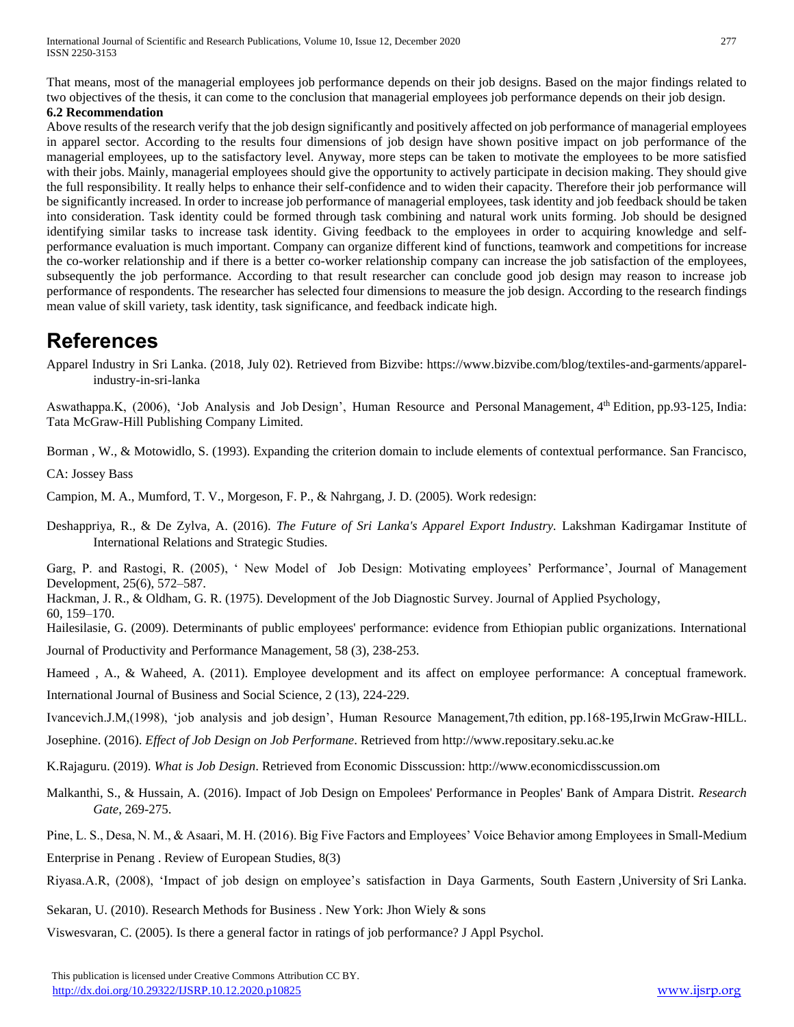That means, most of the managerial employees job performance depends on their job designs. Based on the major findings related to two objectives of the thesis, it can come to the conclusion that managerial employees job performance depends on their job design.

#### **6.2 Recommendation**

Above results of the research verify that the job design significantly and positively affected on job performance of managerial employees in apparel sector. According to the results four dimensions of job design have shown positive impact on job performance of the managerial employees, up to the satisfactory level. Anyway, more steps can be taken to motivate the employees to be more satisfied with their jobs. Mainly, managerial employees should give the opportunity to actively participate in decision making. They should give the full responsibility. It really helps to enhance their self-confidence and to widen their capacity. Therefore their job performance will be significantly increased. In order to increase job performance of managerial employees, task identity and job feedback should be taken into consideration. Task identity could be formed through task combining and natural work units forming. Job should be designed identifying similar tasks to increase task identity. Giving feedback to the employees in order to acquiring knowledge and selfperformance evaluation is much important. Company can organize different kind of functions, teamwork and competitions for increase the co-worker relationship and if there is a better co-worker relationship company can increase the job satisfaction of the employees, subsequently the job performance. According to that result researcher can conclude good job design may reason to increase job performance of respondents. The researcher has selected four dimensions to measure the job design. According to the research findings mean value of skill variety, task identity, task significance, and feedback indicate high.

# **References**

Apparel Industry in Sri Lanka. (2018, July 02). Retrieved from Bizvibe: https://www.bizvibe.com/blog/textiles-and-garments/apparelindustry-in-sri-lanka

Aswathappa.K, (2006), 'Job Analysis and Job Design', Human Resource and Personal Management, 4th Edition, pp.93-125, India: Tata McGraw-Hill Publishing Company Limited.

Borman , W., & Motowidlo, S. (1993). Expanding the criterion domain to include elements of contextual performance. San Francisco,

CA: Jossey Bass

Campion, M. A., Mumford, T. V., Morgeson, F. P., & Nahrgang, J. D. (2005). Work redesign:

Deshappriya, R., & De Zylva, A. (2016). *The Future of Sri Lanka's Apparel Export Industry.* Lakshman Kadirgamar Institute of International Relations and Strategic Studies.

Garg, P. and Rastogi, R. (2005), ' New Model of Job Design: Motivating employees' Performance', Journal of Management Development, 25(6), 572–587.

Hackman, J. R., & Oldham, G. R. (1975). Development of the Job Diagnostic Survey. Journal of Applied Psychology, 60, 159–170.

Hailesilasie, G. (2009). Determinants of public employees' performance: evidence from Ethiopian public organizations. International Journal of Productivity and Performance Management, 58 (3), 238-253.

Hameed , A., & Waheed, A. (2011). Employee development and its affect on employee performance: A conceptual framework.

International Journal of Business and Social Science, 2 (13), 224-229.

Ivancevich.J.M,(1998), 'job analysis and job design', Human Resource Management,7th edition, pp.168-195,Irwin McGraw-HILL.

Josephine. (2016). *Effect of Job Design on Job Performane*. Retrieved from http://www.repositary.seku.ac.ke

K.Rajaguru. (2019). *What is Job Design*. Retrieved from Economic Disscussion: http://www.economicdisscussion.om

Malkanthi, S., & Hussain, A. (2016). Impact of Job Design on Empolees' Performance in Peoples' Bank of Ampara Distrit. *Research Gate*, 269-275.

Pine, L. S., Desa, N. M., & Asaari, M. H. (2016). Big Five Factors and Employees' Voice Behavior among Employees in Small-Medium Enterprise in Penang . Review of European Studies, 8(3)

Riyasa.A.R, (2008), 'Impact of job design on employee's satisfaction in Daya Garments, South Eastern ,University of Sri Lanka.

Sekaran, U. (2010). Research Methods for Business . New York: Jhon Wiely & sons

Viswesvaran, C. (2005). Is there a general factor in ratings of job performance? J Appl Psychol.